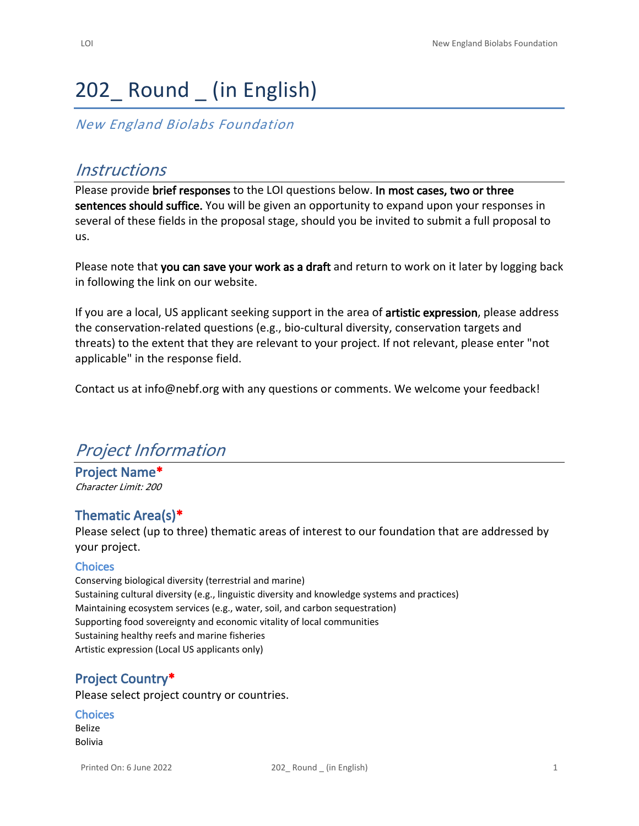# 202 Round (in English)

*New England Biolabs Foundation*

# *Instructions*

Please provide **brief responses** to the LOI questions below. **In most cases, two or three sentences should suffice.** You will be given an opportunity to expand upon your responses in several of these fields in the proposal stage, should you be invited to submit a full proposal to us.

Please note that **you can save your work as a draft** and return to work on it later by logging back in following the link on our website.

If you are a local, US applicant seeking support in the area of **artistic expression**, please address the conservation-related questions (e.g., bio-cultural diversity, conservation targets and threats) to the extent that they are relevant to your project. If not relevant, please enter "not applicable" in the response field.

Contact us at [info@nebf.org](mailto:info@nebf.org) with any questions or comments. We welcome your feedback!

# *Project Information*

**Project Name\*** *Character Limit: 200*

# **Thematic Area(s)\***

Please select (up to three) thematic areas of interest to our foundation that are addressed by your project.

#### **Choices**

Conserving biological diversity (terrestrial and marine) Sustaining cultural diversity (e.g., linguistic diversity and knowledge systems and practices) Maintaining ecosystem services (e.g., water, soil, and carbon sequestration) Supporting food sovereignty and economic vitality of local communities Sustaining healthy reefs and marine fisheries Artistic expression (Local US applicants only)

# **Project Country\***

Please select project country or countries.

#### **Choices**

Belize Bolivia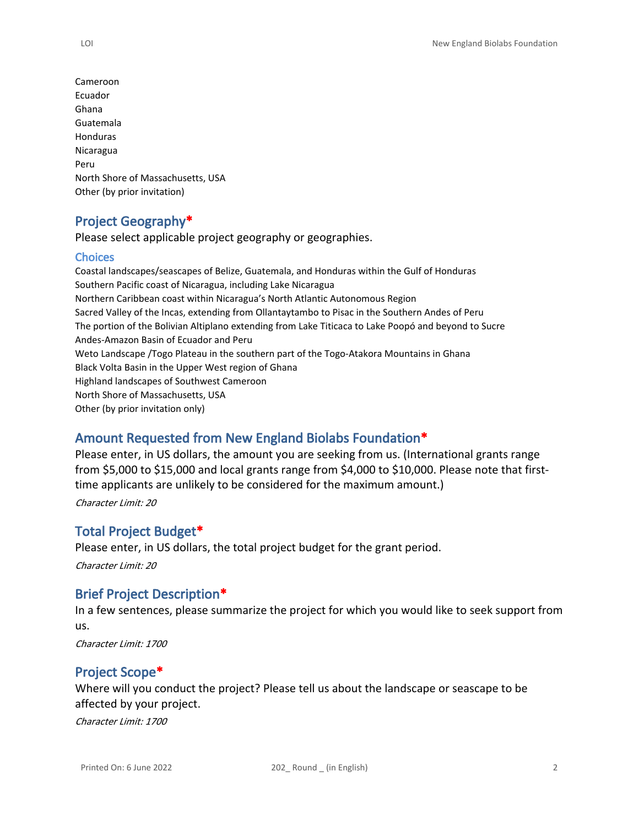Cameroon Ecuador Ghana Guatemala Honduras Nicaragua Peru North Shore of Massachusetts, USA Other (by prior invitation)

# **Project Geography\***

Please select applicable project geography or geographies.

#### **Choices**

Coastal landscapes/seascapes of Belize, Guatemala, and Honduras within the Gulf of Honduras Southern Pacific coast of Nicaragua, including Lake Nicaragua Northern Caribbean coast within Nicaragua's North Atlantic Autonomous Region Sacred Valley of the Incas, extending from Ollantaytambo to Pisac in the Southern Andes of Peru The portion of the Bolivian Altiplano extending from Lake Titicaca to Lake Poopó and beyond to Sucre Andes-Amazon Basin of Ecuador and Peru Weto Landscape /Togo Plateau in the southern part of the Togo-Atakora Mountains in Ghana Black Volta Basin in the Upper West region of Ghana Highland landscapes of Southwest Cameroon North Shore of Massachusetts, USA Other (by prior invitation only)

# **Amount Requested from New England Biolabs Foundation\***

Please enter, in US dollars, the amount you are seeking from us. (International grants range from \$5,000 to \$15,000 and local grants range from \$4,000 to \$10,000. Please note that firsttime applicants are unlikely to be considered for the maximum amount.) *Character Limit: 20*

# **Total Project Budget\***

Please enter, in US dollars, the total project budget for the grant period.

*Character Limit: 20*

# **Brief Project Description\***

In a few sentences, please summarize the project for which you would like to seek support from us.

*Character Limit: 1700*

# **Project Scope\***

Where will you conduct the project? Please tell us about the landscape or seascape to be affected by your project.

*Character Limit: 1700*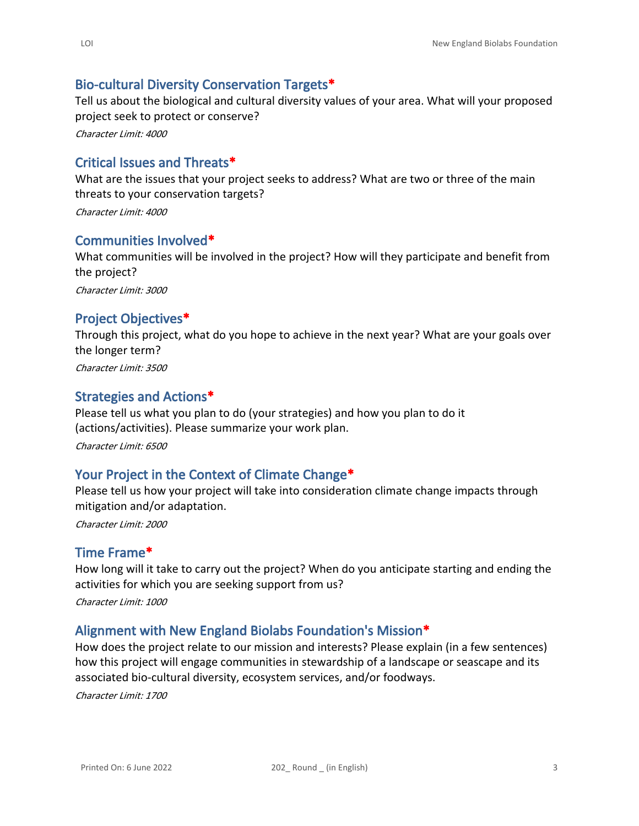#### **Bio-cultural Diversity Conservation Targets\***

Tell us about the biological and cultural diversity values of your area. What will your proposed project seek to protect or conserve?

*Character Limit: 4000*

### **Critical Issues and Threats\***

What are the issues that your project seeks to address? What are two or three of the main threats to your conservation targets?

*Character Limit: 4000*

#### **Communities Involved\***

What communities will be involved in the project? How will they participate and benefit from the project? *Character Limit: 3000*

#### **Project Objectives\***

Through this project, what do you hope to achieve in the next year? What are your goals over the longer term?

*Character Limit: 3500*

#### **Strategies and Actions\***

Please tell us what you plan to do (your strategies) and how you plan to do it (actions/activities). Please summarize your work plan.

*Character Limit: 6500*

#### **Your Project in the Context of Climate Change\***

Please tell us how your project will take into consideration climate change impacts through mitigation and/or adaptation.

*Character Limit: 2000*

#### **Time Frame\***

How long will it take to carry out the project? When do you anticipate starting and ending the activities for which you are seeking support from us?

*Character Limit: 1000*

#### **Alignment with New England Biolabs Foundation's Mission\***

How does the project relate to our mission and interests? Please explain (in a few sentences) how this project will engage communities in stewardship of a landscape or seascape and its associated bio-cultural diversity, ecosystem services, and/or foodways.

*Character Limit: 1700*